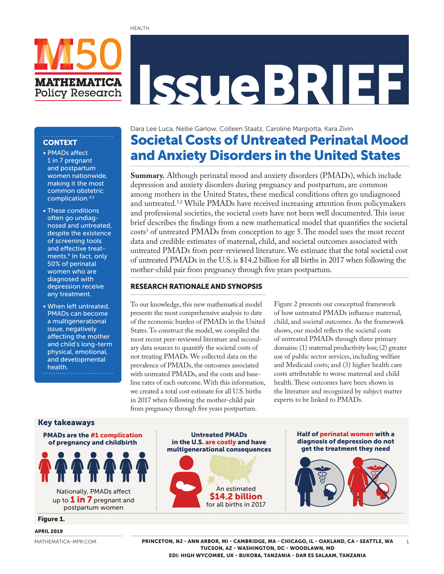# IssueBRIEF

# **CONTEXT**

• PMADs affect 1 in 7 pregnant and postpartum women nationwide, making it the most common obstetric complication.4,5

**MATHEMATICA Policy Research** 

- These conditions often go undiagnosed and untreated, despite the existence of screening tools and effective treatments.<sup>6</sup> In fact, only 50% of perinatal women who are diagnosed with depression receive any treatment.
- • When left untreated, PMADs can become a multigenerational issue, negatively affecting the mother and child's long-term physical, emotional, and developmental health.

Societal Costs of Untreated Perinatal Mood and Anxiety Disorders in the United States Dara Lee Luca, Nellie Garlow, Colleen Staatz, Caroline Margiotta, Kara Zivin

**Summary.** Although perinatal mood and anxiety disorders (PMADs), which include depression and anxiety disorders during pregnancy and postpartum, are common among mothers in the United States, these medical conditions often go undiagnosed and untreated.1,2 While PMADs have received increasing attention from policymakers and professional societies, the societal costs have not been well documented. This issue brief describes the findings from a new mathematical model that quantifies the societal costs<sup>3</sup> of untreated PMADs from conception to age 5. The model uses the most recent data and credible estimates of maternal, child, and societal outcomes associated with untreated PMADs from peer-reviewed literature. We estimate that the total societal cost of untreated PMADs in the U.S. is \$14.2 billion for all births in 2017 when following the mother-child pair from pregnancy through five years postpartum.

#### RESEARCH RATIONALE AND SYNOPSIS

To our knowledge, this new mathematical model presents the most comprehensive analysis to date of the economic burden of PMADs in the United States. To construct the model, we compiled the most recent peer-reviewed literature and secondary data sources to quantify the societal costs of not treating PMADs. We collected data on the prevalence of PMADs, the outcomes associated with untreated PMADs, and the costs and baseline rates of each outcome. With this information, we created a total cost estimate for all U.S. births in 2017 when following the mother-child pair from pregnancy through five years postpartum.

Figure 2 presents our conceptual framework of how untreated PMADs influence maternal, child, and societal outcomes. As the framework shows, our model reflects the societal costs of untreated PMADs through three primary domains: (1) maternal productivity loss; (2) greater use of public sector services, including welfare and Medicaid costs; and (3) higher health care costs attributable to worse maternal and child health. These outcomes have been shown in the literature and recognized by subject matter experts to be linked to PMADs.

#### Key takeaways

PMADs are the #1 complication of pregnancy and childbirth



Nationally, PMADs affect up to  $1$  in  $7$  pregnant and postpartum women

Figure 1.

#### APRIL 2019

[MATHEMATICA-MPR.COM](http://mathematica-mpr.com/)

# An estimated \$14.2 billion for all births in 2017 Untreated PMADs in the U.S. are costly and have multigenerational consequences



### PRINCETON, NJ - ANN ARBOR, MI - CAMBRIDGE, MA - CHICAGO, IL - OAKLAND, CA - SEATTLE, WA TUCSON, AZ - WASHINGTON, DC - WOODLAWN, MD

EDI: HIGH WYCOMBE, UK - BUKOBA, TANZANIA - DAR ES SALAAM, TANZANIA

1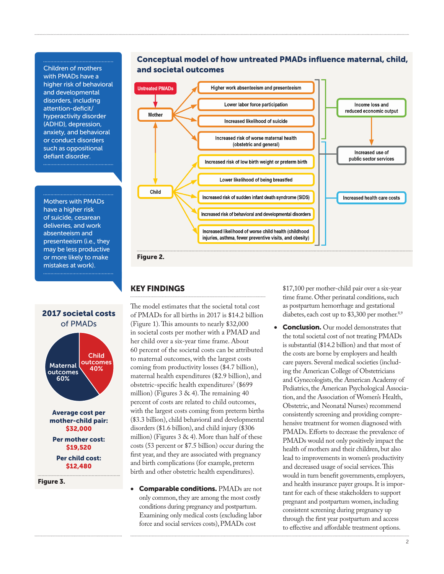Children of mothers with PMADs have a higher risk of behavioral and developmental disorders, including attention-deficit/ hyperactivity disorder (ADHD), depression, anxiety, and behavioral or conduct disorders such as oppositional defiant disorder.

Mothers with PMADs have a higher risk of suicide, cesarean deliveries, and work absenteeism and presenteeism (i.e., they may be less productive or more likely to make mistakes at work).



Figure 3.





#### Figure 2.

#### KEY FINDINGS

The model estimates that the societal total cost of PMADs for all births in 2017 is \$14.2 billion (Figure 1). This amounts to nearly \$32,000 in societal costs per mother with a PMAD and her child over a six-year time frame. About 60 percent of the societal costs can be attributed to maternal outcomes, with the largest costs coming from productivity losses (\$4.7 billion), maternal health expenditures (\$2.9 billion), and obstetric-specific health expenditures<sup>7</sup> (\$699 million) (Figures  $3 \& 4$ ). The remaining  $40$ percent of costs are related to child outcomes, with the largest costs coming from preterm births (\$3.3 billion), child behavioral and developmental disorders (\$1.6 billion), and child injury (\$306 million) (Figures  $3 \& 4$ ). More than half of these costs (53 percent or \$7.5 billion) occur during the first year, and they are associated with pregnancy and birth complications (for example, preterm birth and other obstetric health expenditures).

**Comparable conditions. PMADs are not** only common, they are among the most costly conditions during pregnancy and postpartum. Examining only medical costs (excluding labor force and social services costs), PMADs cost

\$17,100 per mother-child pair over a six-year time frame. Other perinatal conditions, such as postpartum hemorrhage and gestational diabetes, each cost up to \$3,300 per mother.<sup>8,9</sup>

• Conclusion. Our model demonstrates that the total societal cost of not treating PMADs is substantial (\$14.2 billion) and that most of the costs are borne by employers and health care payers. Several medical societies (including the American College of Obstetricians and Gynecologists, the American Academy of Pediatrics, the American Psychological Association, and the Association of Women's Health, Obstetric, and Neonatal Nurses) recommend consistently screening and providing comprehensive treatment for women diagnosed with PMADs. Efforts to decrease the prevalence of PMADs would not only positively impact the health of mothers and their children, but also lead to improvements in women's productivity and decreased usage of social services. This would in turn benefit governments, employers, and health insurance payer groups. It is important for each of these stakeholders to support pregnant and postpartum women, including consistent screening during pregnancy up through the first year postpartum and access to effective and affordable treatment options.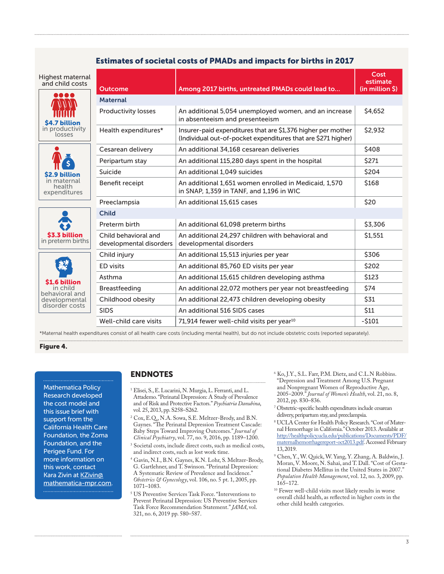#### Estimates of societal costs of PMADs and impacts for births in 2017

| Highest maternal<br>and child costs                                                  | <b>Outcome</b>                                  | Among 2017 births, untreated PMADs could lead to                                                                              | Cost<br>estimate<br>(in million \$) |  |
|--------------------------------------------------------------------------------------|-------------------------------------------------|-------------------------------------------------------------------------------------------------------------------------------|-------------------------------------|--|
| n de lei<br>\$4.7 billion<br>in productivity<br>losses                               | <b>Maternal</b>                                 |                                                                                                                               |                                     |  |
|                                                                                      | <b>Productivity losses</b>                      | An additional 5,054 unemployed women, and an increase<br>in absenteeism and presenteeism                                      | \$4,652                             |  |
|                                                                                      | Health expenditures*                            | Insurer-paid expenditures that are \$1,376 higher per mother<br>(Individual out-of-pocket expenditures that are \$271 higher) | \$2,932                             |  |
| S2.9 billion<br>in maternal<br>health<br>expenditures                                | Cesarean delivery                               | An additional 34,168 cesarean deliveries                                                                                      | \$408                               |  |
|                                                                                      | Peripartum stay                                 | An additional 115,280 days spent in the hospital                                                                              | \$271                               |  |
|                                                                                      | Suicide                                         | An additional 1.049 suicides                                                                                                  | \$204                               |  |
|                                                                                      | Benefit receipt                                 | An additional 1,651 women enrolled in Medicaid, 1,570<br>in SNAP, 1,359 in TANF, and 1,196 in WIC                             | \$168                               |  |
|                                                                                      | Preeclampsia                                    | An additional 15,615 cases                                                                                                    | \$20                                |  |
| \$3.3 billion<br>in preterm births                                                   | <b>Child</b>                                    |                                                                                                                               |                                     |  |
|                                                                                      | Preterm birth                                   | An additional 61,098 preterm births                                                                                           | \$3,306                             |  |
|                                                                                      | Child behavioral and<br>developmental disorders | An additional 24.297 children with behavioral and<br>developmental disorders                                                  | \$1,551                             |  |
| <b>S1.6 billion</b><br>in child<br>behavioral and<br>developmental<br>disorder costs | Child injury                                    | An additional 15,513 injuries per year                                                                                        | \$306                               |  |
|                                                                                      | <b>ED</b> visits                                | An additional 85,760 ED visits per year                                                                                       | \$202                               |  |
|                                                                                      | Asthma                                          | An additional 15,615 children developing asthma                                                                               | \$123                               |  |
|                                                                                      | Breastfeeding                                   | An additional 22,072 mothers per year not breastfeeding                                                                       | \$74                                |  |
|                                                                                      | Childhood obesity                               | An additional 22,473 children developing obesity                                                                              | \$31                                |  |
|                                                                                      | <b>SIDS</b>                                     | An additional 516 SIDS cases                                                                                                  | \$11                                |  |
|                                                                                      | Well-child care visits                          | 71,914 fewer well-child visits per year <sup>10</sup>                                                                         | $-5101$                             |  |

\*Maternal health expenditures consist of all health care costs (including mental health), but do not include obstetric costs (reported separately).

#### Figure 4.

Mathematica Policy Research developed the cost model and this issue brief with support from the California Health Care Foundation, the Zoma Foundation, and the Perigee Fund. For more information on this work, contact Kara Zivin at [KZivin@](mailto:KZivin@mathematica-mpr.com) [mathematica-mpr.com](mailto:KZivin@mathematica-mpr.com).

#### ENDNOTES

- 1 Elisei, S., E. Lucarini, N. Murgia, L. Ferranti, and L. Attademo. "Perinatal Depression: A Study of Prevalence and of Risk and Protective Factors." *Psychiatria Danubina*, vol. 25, 2013, pp. S258–S262.
- 2 Cox, E.Q., N.A. Sowa, S.E. Meltzer-Brody, and B.N. Gaynes. "The Perinatal Depression Treatment Cascade: Baby Steps Toward Improving Outcomes." *Journal of Clinical Psychiatry*, vol. 77, no. 9, 2016, pp. 1189–1200.
- 3 Societal costs, include direct costs, such as medical costs, and indirect costs, such as lost work time.
- 4 Gavin, N.I., B.N. Gaynes, K.N. Lohr, S. Meltzer-Brody, G. Gartlehner, and T. Swinson. "Perinatal Depression: A Systematic Review of Prevalence and Incidence." *Obstetrics & Gynecology*, vol. 106, no. 5 pt. 1, 2005, pp. 1071–1083.
- 5 US Preventive Services Task Force. "Interventions to Prevent Perinatal Depression: US Preventive Services Task Force Recommendation Statement." *JAMA*, vol. 321, no. 6, 2019 pp. 580–587.
- 6 Ko, J.Y., S.L. Farr, P.M. Dietz, and C.L.N Robbins. "Depression and Treatment Among U.S. Pregnant and Nonpregnant Women of Reproductive Age, 2005–2009." *Journal of Women's Health*, vol. 21, no. 8, 2012, pp. 830–836.
- 7 Obstetric-specific health expenditures include cesarean delivery, peripartum stay, and preeclampsia.
- 8 UCLA Center for Health Policy Research. "Cost of Maternal Hemorrhage in California." October 2013. Available at [http://healthpolicy.ucla.edu/publications/Documents/PDF/](http://healthpolicy.ucla.edu/publications/Documents/PDF/maternalhemorrhagereport-oct2013.pdf) [maternalhemorrhagereport-oct2013.pdf.](http://healthpolicy.ucla.edu/publications/Documents/PDF/maternalhemorrhagereport-oct2013.pdf) Accessed February 13, 2019.
- 9 Chen, Y., W. Quick, W. Yang, Y. Zhang, A. Baldwin, J. Moran, V. Moore, N. Sahai, and T. Dall. "Cost of Gestational Diabetes Mellitus in the United States in 2007." *Population Health Management*, vol. 12, no. 3, 2009, pp. 165–172.
- $^{\rm 10}$  Fewer well-child visits most likely results in worse overall child health, as reflected in higher costs in the other child health categories.